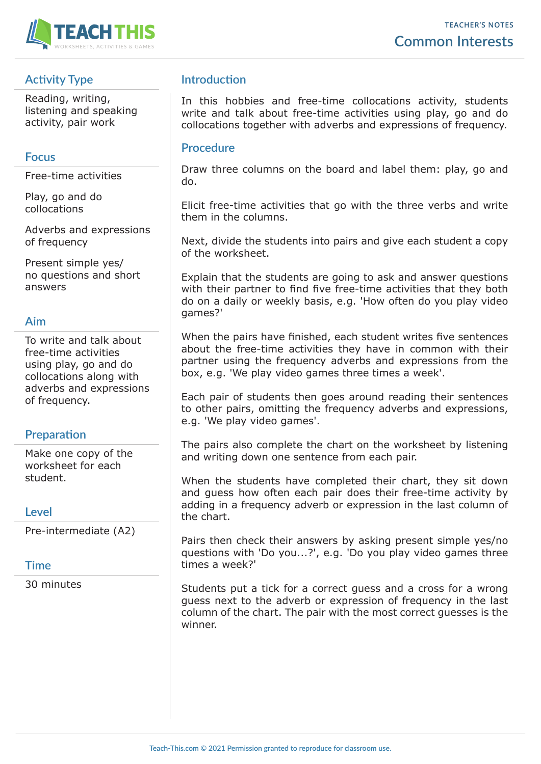

# **Activity Type**

Reading, writing, listening and speaking activity, pair work

#### **Focus**

Free-time activities

Play, go and do collocations

Adverbs and expressions of frequency

Present simple yes/ no questions and short answers

## **Aim**

To write and talk about free-time activities using play, go and do collocations along with adverbs and expressions of frequency.

#### **Preparation**

Make one copy of the worksheet for each student.

#### **Level**

Pre-intermediate (A2)

#### **Time**

30 minutes

### **Introduction**

In this hobbies and free-time collocations activity, students write and talk about free-time activities using play, go and do collocations together with adverbs and expressions of frequency.

#### **Procedure**

Draw three columns on the board and label them: play, go and do.

Elicit free-time activities that go with the three verbs and write them in the columns.

Next, divide the students into pairs and give each student a copy of the worksheet.

Explain that the students are going to ask and answer questions with their partner to find five free-time activities that they both do on a daily or weekly basis, e.g. 'How often do you play video games?'

When the pairs have finished, each student writes five sentences about the free-time activities they have in common with their partner using the frequency adverbs and expressions from the box, e.g. 'We play video games three times a week'.

Each pair of students then goes around reading their sentences to other pairs, omitting the frequency adverbs and expressions, e.g. 'We play video games'.

The pairs also complete the chart on the worksheet by listening and writing down one sentence from each pair.

When the students have completed their chart, they sit down and guess how often each pair does their free-time activity by adding in a frequency adverb or expression in the last column of the chart.

Pairs then check their answers by asking present simple yes/no questions with 'Do you...?', e.g. 'Do you play video games three times a week?'

Students put a tick for a correct guess and a cross for a wrong guess next to the adverb or expression of frequency in the last column of the chart. The pair with the most correct guesses is the winner.